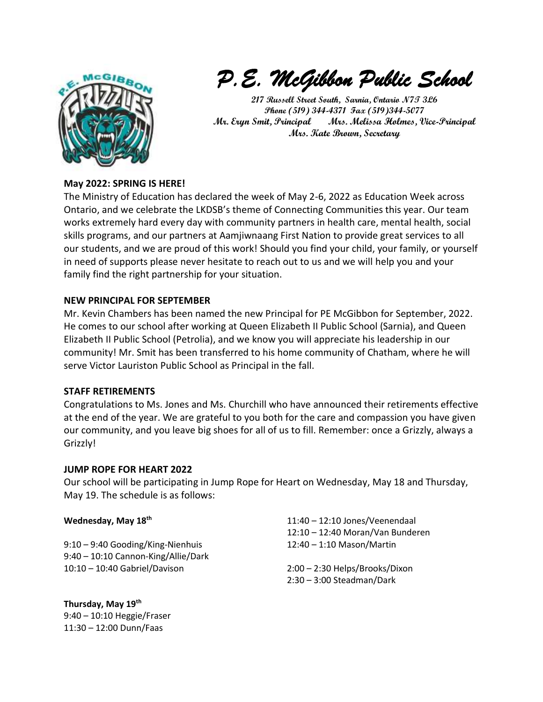

*P.E. McGibbon Public School* 

**217 Russell Street South, Sarnia, Ontario N7T 3L6 Phone (519) 344-4371 Fax (519)344-5077 Mr. Eryn Smit, Principal Mrs. Melissa Holmes, Vice-Principal Mrs. Kate Brown, Secretary** 

# **May 2022: SPRING IS HERE!**

The Ministry of Education has declared the week of May 2-6, 2022 as Education Week across Ontario, and we celebrate the LKDSB's theme of Connecting Communities this year. Our team works extremely hard every day with community partners in health care, mental health, social skills programs, and our partners at Aamjiwnaang First Nation to provide great services to all our students, and we are proud of this work! Should you find your child, your family, or yourself in need of supports please never hesitate to reach out to us and we will help you and your family find the right partnership for your situation.

## **NEW PRINCIPAL FOR SEPTEMBER**

Mr. Kevin Chambers has been named the new Principal for PE McGibbon for September, 2022. He comes to our school after working at Queen Elizabeth II Public School (Sarnia), and Queen Elizabeth II Public School (Petrolia), and we know you will appreciate his leadership in our community! Mr. Smit has been transferred to his home community of Chatham, where he will serve Victor Lauriston Public School as Principal in the fall.

#### **STAFF RETIREMENTS**

Congratulations to Ms. Jones and Ms. Churchill who have announced their retirements effective at the end of the year. We are grateful to you both for the care and compassion you have given our community, and you leave big shoes for all of us to fill. Remember: once a Grizzly, always a Grizzly!

#### **JUMP ROPE FOR HEART 2022**

Our school will be participating in Jump Rope for Heart on Wednesday, May 18 and Thursday, May 19. The schedule is as follows:

#### **Wednesday, May 18th**

9:10 – 9:40 Gooding/King-Nienhuis 9:40 – 10:10 Cannon-King/Allie/Dark 10:10 – 10:40 Gabriel/Davison

**Thursday, May 19th** 9:40 – 10:10 Heggie/Fraser 11:30 – 12:00 Dunn/Faas

11:40 – 12:10 Jones/Veenendaal 12:10 – 12:40 Moran/Van Bunderen 12:40 – 1:10 Mason/Martin

2:00 – 2:30 Helps/Brooks/Dixon 2:30 – 3:00 Steadman/Dark